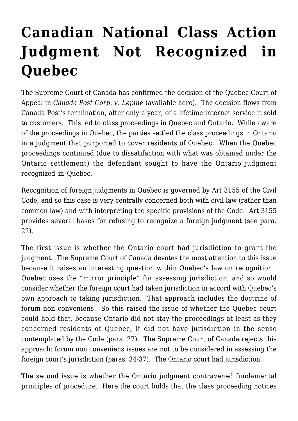## **[Canadian National Class Action](https://conflictoflaws.net/2009/canadian-national-class-action-judgment-not-recognized-in-quebec/) [Judgment Not Recognized in](https://conflictoflaws.net/2009/canadian-national-class-action-judgment-not-recognized-in-quebec/) [Quebec](https://conflictoflaws.net/2009/canadian-national-class-action-judgment-not-recognized-in-quebec/)**

The Supreme Court of Canada has confirmed the decision of the Quebec Court of Appeal in *Canada Post Corp. v. Lepine* (available [here\)](http://csc.lexum.umontreal.ca/en/2009/2009scc16/2009scc16.html). The decision flows from Canada Post's termination, after only a year, of a lifetime internet service it sold to customers. This led to class proceedings in Quebec and Ontario. While aware of the proceedings in Quebec, the parties settled the class proceedings in Ontario in a judgment that purported to cover residents of Quebec. When the Quebec proceedings continued (due to dissatifaction with what was obtained under the Ontario settlement) the defendant sought to have the Ontario judgment recognized in Quebec.

Recognition of foreign judgments in Quebec is governed by Art 3155 of the Civil Code, and so this case is very centrally concerned both with civil law (rather than common law) and with interpreting the specific provisions of the Code. Art 3155 provides several bases for refusing to recognize a foreign judgment (see para. 22).

The first issue is whether the Ontario court had jurisdiction to grant the judgment. The Supreme Court of Canada devotes the most attention to this issue because it raises an interesting question within Quebec's law on recognition. Quebec uses the "mirror principle" for assessing jurisdiction, and so would consider whether the foreign court had taken jurisdiction in accord with Quebec's own approach to taking jurisdiction. That approach includes the doctrine of forum non conveniens. So this raised the issue of whether the Quebec court could hold that, because Ontario did not stay the proceedings at least as they concerned residents of Quebec, it did not have jurisdiction in the sense contemplated by the Code (para. 27). The Supreme Court of Canada rejects this approach: forum non conveniens issues are not to be considered in assessing the foreign court's jurisdiction (paras. 34-37). The Ontario court had jurisdiction.

The second issue is whether the Ontario judgment contravened fundamental principles of procedure. Here the court holds that the class proceeding notices